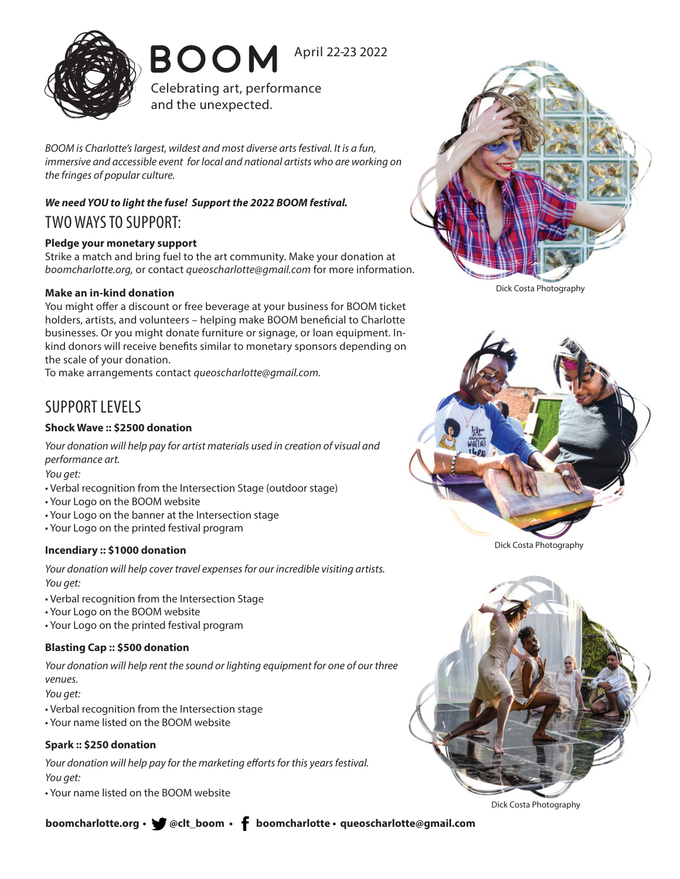

**BOOM** April 22-23 2022

Celebrating art, performance and the unexpected.

*BOOM is Charlotte's largest, wildest and most diverse arts festival. It is a fun, immersive and accessible event for local and national artists who are working on the fringes of popular culture.* 

### *We need YOU to light the fuse! Support the 2022 BOOM festival.* TWO WAYS TO SUPPORT:

### **Pledge your monetary support**

Strike a match and bring fuel to the art community. Make your donation at *boomcharlotte.org,* or contact *queoscharlotte@gmail.com* for more information.

#### **Make an in-kind donation**

You might offer a discount or free beverage at your business for BOOM ticket holders, artists, and volunteers – helping make BOOM beneficial to Charlotte businesses. Or you might donate furniture or signage, or loan equipment. Inkind donors will receive benefits similar to monetary sponsors depending on the scale of your donation.

To make arrangements contact *queoscharlotte@gmail.com.*

## SUPPORT LEVELS

#### **Shock Wave :: \$2500 donation**

*Your donation will help pay for artist materials used in creation of visual and performance art.*

*You get:*

- Verbal recognition from the Intersection Stage (outdoor stage)
- Your Logo on the BOOM website
- Your Logo on the banner at the Intersection stage
- Your Logo on the printed festival program

#### **Incendiary :: \$1000 donation**

*Your donation will help cover travel expenses for our incredible visiting artists. You get:*

- Verbal recognition from the Intersection Stage
- Your Logo on the BOOM website
- Your Logo on the printed festival program

#### **Blasting Cap :: \$500 donation**

*Your donation will help rent the sound or lighting equipment for one of our three venues.*

*You get:*

- Verbal recognition from the Intersection stage
- Your name listed on the BOOM website

#### **Spark :: \$250 donation**

*Your donation will help pay for the marketing efforts for this years festival. You get:*

• Your name listed on the BOOM website



Dick Costa Photography



Dick Costa Photography



Dick Costa Photography

**boomcharlotte.org • Welt\_boom • f boomcharlotte • queoscharlotte@gmail.com**